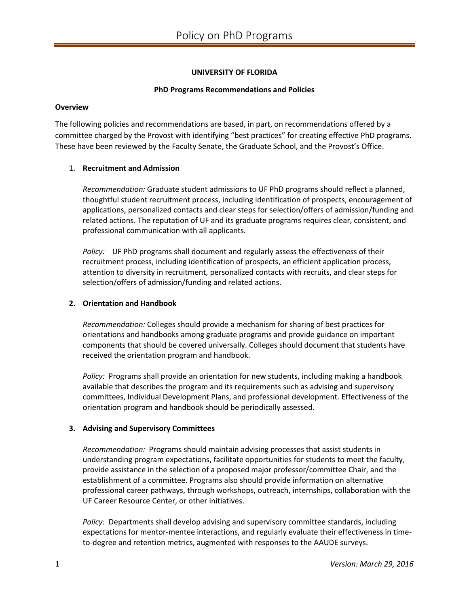# **UNIVERSITY OF FLORIDA**

## **PhD Programs Recommendations and Policies**

#### **Overview**

The following policies and recommendations are based, in part, on recommendations offered by a committee charged by the Provost with identifying "best practices" for creating effective PhD programs. These have been reviewed by the Faculty Senate, the Graduate School, and the Provost's Office.

## 1. **Recruitment and Admission**

*Recommendation:* Graduate student admissions to UF PhD programs should reflect a planned, thoughtful student recruitment process, including identification of prospects, encouragement of applications, personalized contacts and clear steps for selection/offers of admission/funding and related actions. The reputation of UF and its graduate programs requires clear, consistent, and professional communication with all applicants.

*Policy:* UF PhD programs shall document and regularly assess the effectiveness of their recruitment process, including identification of prospects, an efficient application process, attention to diversity in recruitment, personalized contacts with recruits, and clear steps for selection/offers of admission/funding and related actions.

#### **2. Orientation and Handbook**

*Recommendation:* Colleges should provide a mechanism for sharing of best practices for orientations and handbooks among graduate programs and provide guidance on important components that should be covered universally. Colleges should document that students have received the orientation program and handbook.

*Policy:* Programs shall provide an orientation for new students, including making a handbook available that describes the program and its requirements such as advising and supervisory committees, Individual Development Plans, and professional development. Effectiveness of the orientation program and handbook should be periodically assessed.

## **3. Advising and Supervisory Committees**

*Recommendation:* Programs should maintain advising processes that assist students in understanding program expectations, facilitate opportunities for students to meet the faculty, provide assistance in the selection of a proposed major professor/committee Chair, and the establishment of a committee. Programs also should provide information on alternative professional career pathways, through workshops, outreach, internships, collaboration with the UF Career Resource Center, or other initiatives.

*Policy:* Departments shall develop advising and supervisory committee standards, including expectations for mentor-mentee interactions, and regularly evaluate their effectiveness in timeto-degree and retention metrics, augmented with responses to the AAUDE surveys.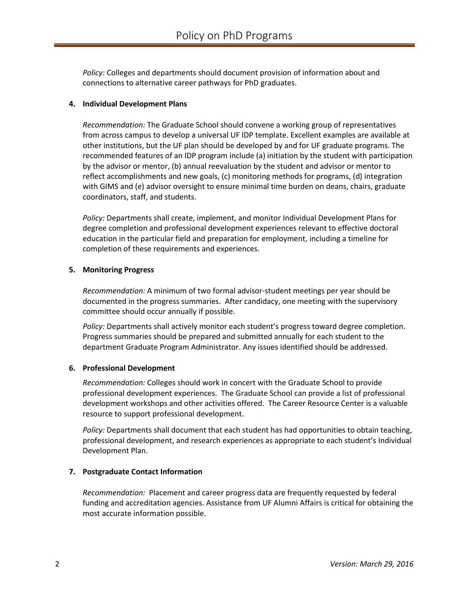*Policy:* Colleges and departments should document provision of information about and connections to alternative career pathways for PhD graduates.

## **4. Individual Development Plans**

*Recommendation:* The Graduate School should convene a working group of representatives from across campus to develop a universal UF IDP template. Excellent examples are available at other institutions, but the UF plan should be developed by and for UF graduate programs. The recommended features of an IDP program include (a) initiation by the student with participation by the advisor or mentor, (b) annual reevaluation by the student and advisor or mentor to reflect accomplishments and new goals, (c) monitoring methods for programs, (d) integration with GIMS and (e) advisor oversight to ensure minimal time burden on deans, chairs, graduate coordinators, staff, and students.

*Policy:* Departments shall create, implement, and monitor Individual Development Plans for degree completion and professional development experiences relevant to effective doctoral education in the particular field and preparation for employment, including a timeline for completion of these requirements and experiences.

## **5. Monitoring Progress**

*Recommendation:* A minimum of two formal advisor-student meetings per year should be documented in the progress summaries. After candidacy, one meeting with the supervisory committee should occur annually if possible.

*Policy:* Departments shall actively monitor each student's progress toward degree completion. Progress summaries should be prepared and submitted annually for each student to the department Graduate Program Administrator. Any issues identified should be addressed.

## **6. Professional Development**

*Recommendation:* Colleges should work in concert with the Graduate School to provide professional development experiences. The Graduate School can provide a list of professional development workshops and other activities offered. The Career Resource Center is a valuable resource to support professional development.

*Policy:* Departments shall document that each student has had opportunities to obtain teaching, professional development, and research experiences as appropriate to each student's Individual Development Plan.

# **7. Postgraduate Contact Information**

*Recommendation:* Placement and career progress data are frequently requested by federal funding and accreditation agencies. Assistance from UF Alumni Affairs is critical for obtaining the most accurate information possible.